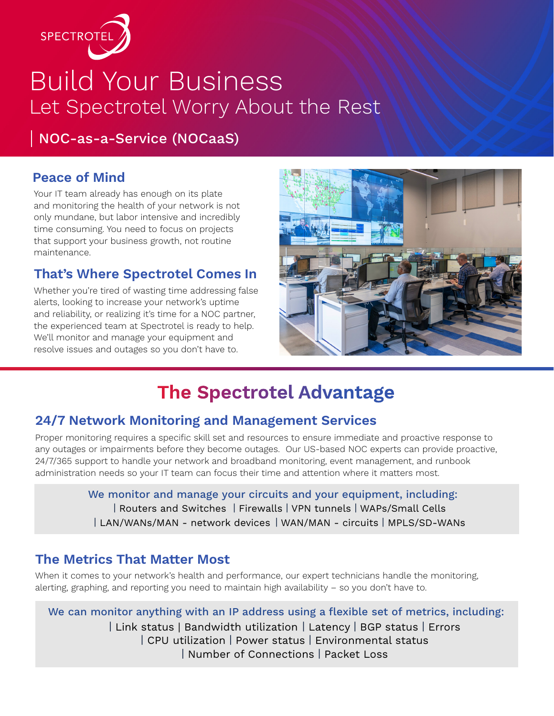

# Build Your Business Let Spectrotel Worry About the Rest

NOC-as-a-Service (NOCaaS)

#### **Peace of Mind**

Your IT team already has enough on its plate and monitoring the health of your network is not only mundane, but labor intensive and incredibly time consuming. You need to focus on projects that support your business growth, not routine maintenance.

#### **That's Where Spectrotel Comes In**

Whether you're tired of wasting time addressing false alerts, looking to increase your network's uptime and reliability, or realizing it's time for a NOC partner, the experienced team at Spectrotel is ready to help. We'll monitor and manage your equipment and resolve issues and outages so you don't have to.



## **The Spectrotel Advantage**

#### **24/7 Network Monitoring and Management Services**

Proper monitoring requires a specific skill set and resources to ensure immediate and proactive response to any outages or impairments before they become outages. Our US-based NOC experts can provide proactive, 24/7/365 support to handle your network and broadband monitoring, event management, and runbook administration needs so your IT team can focus their time and attention where it matters most.

> | Routers and Switches | Firewalls | VPN tunnels | WAPs/Small Cells | LAN/WANs/MAN - network devices | WAN/MAN - circuits | MPLS/SD-WANs We monitor and manage your circuits and your equipment, including:

#### **The Metrics That Matter Most**

When it comes to your network's health and performance, our expert technicians handle the monitoring, alerting, graphing, and reporting you need to maintain high availability – so you don't have to.

We can monitor anything with an IP address using a flexible set of metrics, including: | Link status | Bandwidth utilization | Latency | BGP status | Errors | CPU utilization | Power status | Environmental status | Number of Connections | Packet Loss